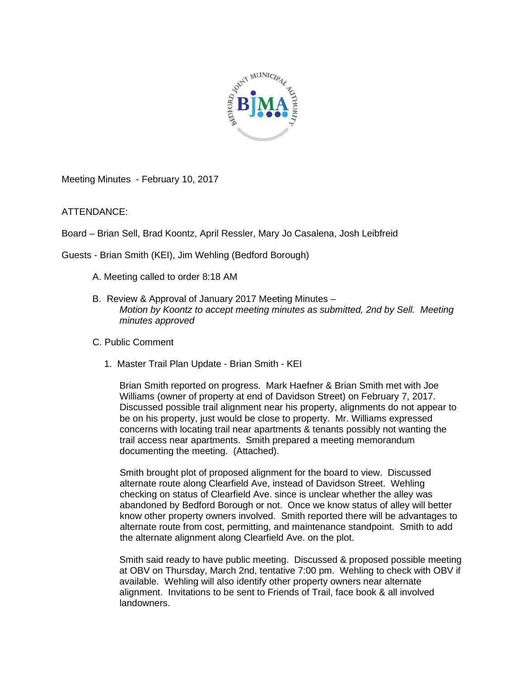

Meeting Minutes - February 10, 2017

ATTENDANCE:

Board – Brian Sell, Brad Koontz, April Ressler, Mary Jo Casalena, Josh Leibfreid

Guests - Brian Smith (KEI), Jim Wehling (Bedford Borough)

- A. Meeting called to order 8:18 AM
- B. Review & Approval of January 2017 Meeting Minutes *Motion by Koontz to accept meeting minutes as submitted, 2nd by Sell. Meeting minutes approved*
- C. Public Comment
	- 1. Master Trail Plan Update Brian Smith KEI

Brian Smith reported on progress. Mark Haefner & Brian Smith met with Joe Williams (owner of property at end of Davidson Street) on February 7, 2017. Discussed possible trail alignment near his property, alignments do not appear to be on his property, just would be close to property. Mr. Williams expressed concerns with locating trail near apartments & tenants possibly not wanting the trail access near apartments. Smith prepared a meeting memorandum documenting the meeting. (Attached).

Smith brought plot of proposed alignment for the board to view. Discussed alternate route along Clearfield Ave, instead of Davidson Street. Wehling checking on status of Clearfield Ave. since is unclear whether the alley was abandoned by Bedford Borough or not. Once we know status of alley will better know other property owners involved. Smith reported there will be advantages to alternate route from cost, permitting, and maintenance standpoint. Smith to add the alternate alignment along Clearfield Ave. on the plot.

Smith said ready to have public meeting. Discussed & proposed possible meeting at OBV on Thursday, March 2nd, tentative 7:00 pm. Wehling to check with OBV if available. Wehling will also identify other property owners near alternate alignment. Invitations to be sent to Friends of Trail, face book & all involved landowners.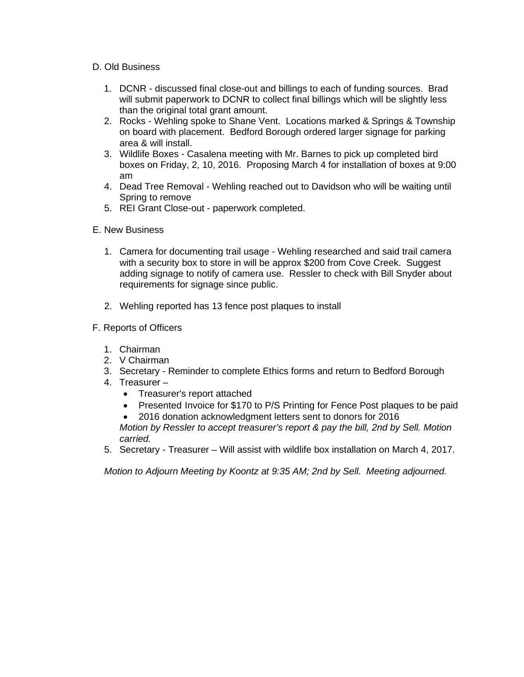## D. Old Business

- 1. DCNR discussed final close-out and billings to each of funding sources. Brad will submit paperwork to DCNR to collect final billings which will be slightly less than the original total grant amount.
- 2. Rocks Wehling spoke to Shane Vent. Locations marked & Springs & Township on board with placement. Bedford Borough ordered larger signage for parking area & will install.
- 3. Wildlife Boxes Casalena meeting with Mr. Barnes to pick up completed bird boxes on Friday, 2, 10, 2016. Proposing March 4 for installation of boxes at 9:00 am
- 4. Dead Tree Removal Wehling reached out to Davidson who will be waiting until Spring to remove
- 5. REI Grant Close-out paperwork completed.

## E. New Business

- 1. Camera for documenting trail usage Wehling researched and said trail camera with a security box to store in will be approx \$200 from Cove Creek. Suggest adding signage to notify of camera use. Ressler to check with Bill Snyder about requirements for signage since public.
- 2. Wehling reported has 13 fence post plaques to install
- F. Reports of Officers
	- 1. Chairman
	- 2. V Chairman
	- 3. Secretary Reminder to complete Ethics forms and return to Bedford Borough
	- 4. Treasurer
		- Treasurer's report attached
		- Presented Invoice for \$170 to P/S Printing for Fence Post plaques to be paid
		- 2016 donation acknowledgment letters sent to donors for 2016

*Motion by Ressler to accept treasurer's report & pay the bill, 2nd by Sell. Motion carried.*

5. Secretary - Treasurer – Will assist with wildlife box installation on March 4, 2017.

*Motion to Adjourn Meeting by Koontz at 9:35 AM; 2nd by Sell. Meeting adjourned.*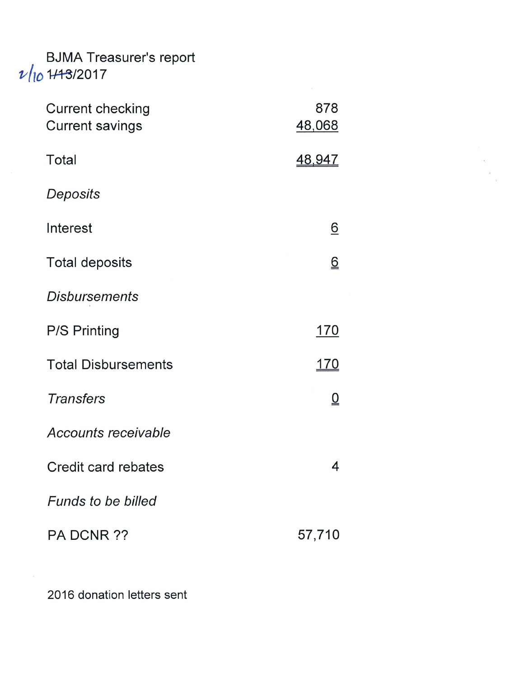## BJMA Treasurer's report<br> $\nu / \nu$  1/13/2017

| <b>Current checking</b><br><b>Current savings</b> | 878<br>48,068   |
|---------------------------------------------------|-----------------|
| Total                                             | <u>48,947</u>   |
| Deposits                                          |                 |
| Interest                                          | <u>6</u>        |
| <b>Total deposits</b>                             | <u>6</u>        |
| <b>Disbursements</b>                              |                 |
| <b>P/S Printing</b>                               | <u> 170</u>     |
| <b>Total Disbursements</b>                        | <u> 170</u>     |
| <b>Transfers</b>                                  | $\underline{0}$ |
| Accounts receivable                               |                 |
| Credit card rebates                               | 4               |
| <b>Funds to be billed</b>                         |                 |
| PA DCNR ??                                        | 57,710          |

2016 donation letters sent